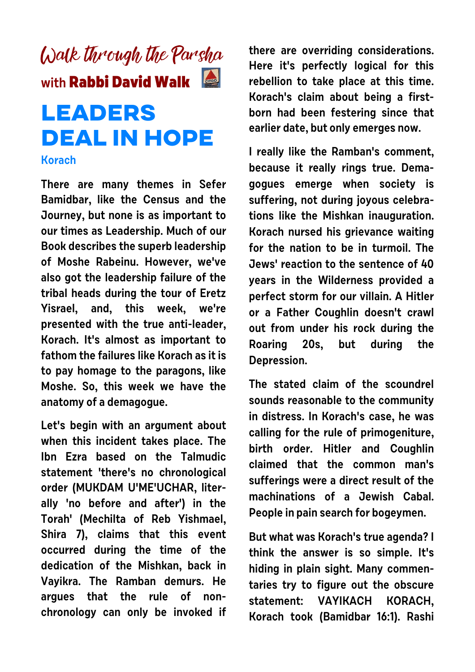

## **DEAL IN HOPE**

## **Korach**

**There are many themes in Sefer Bamidbar, like the Census and the Journey, but none is as important to our times as Leadership. Much of our Book describes the superb leadership of Moshe Rabeinu. However, we've also got the leadership failure of the tribal heads during the tour of Eretz Yisrael, and, this week, we're presented with the true anti-leader, Korach. It's almost as important to fathom the failures like Korach as it is to pay homage to the paragons, like Moshe. So, this week we have the anatomy of a demagogue.** 

**Let's begin with an argument about when this incident takes place. The Ibn Ezra based on the Talmudic statement 'there's no chronological order (MUKDAM U'ME'UCHAR, literally 'no before and after') in the Torah' (Mechilta of Reb Yishmael, Shira 7), claims that this event occurred during the time of the dedication of the Mishkan, back in Vayikra. The Ramban demurs. He argues that the rule of nonchronology can only be invoked if** **there are overriding considerations. Here it's perfectly logical for this rebellion to take place at this time. Korach's claim about being a firstborn had been festering since that earlier date, but only emerges now.**

**I really like the Ramban's comment, because it really rings true. Demagogues emerge when society is suffering, not during joyous celebrations like the Mishkan inauguration. Korach nursed his grievance waiting for the nation to be in turmoil. The Jews' reaction to the sentence of 40 years in the Wilderness provided a perfect storm for our villain. A Hitler or a Father Coughlin doesn't crawl out from under his rock during the Roaring 20s, but during the Depression.**

**The stated claim of the scoundrel sounds reasonable to the community in distress. In Korach's case, he was calling for the rule of primogeniture, birth order. Hitler and Coughlin claimed that the common man's sufferings were a direct result of the machinations of a Jewish Cabal. People in pain search for bogeymen.**

**But what was Korach's true agenda? I think the answer is so simple. It's hiding in plain sight. Many commentaries try to figure out the obscure statement: VAYIKACH KORACH, Korach took (Bamidbar 16:1). Rashi**